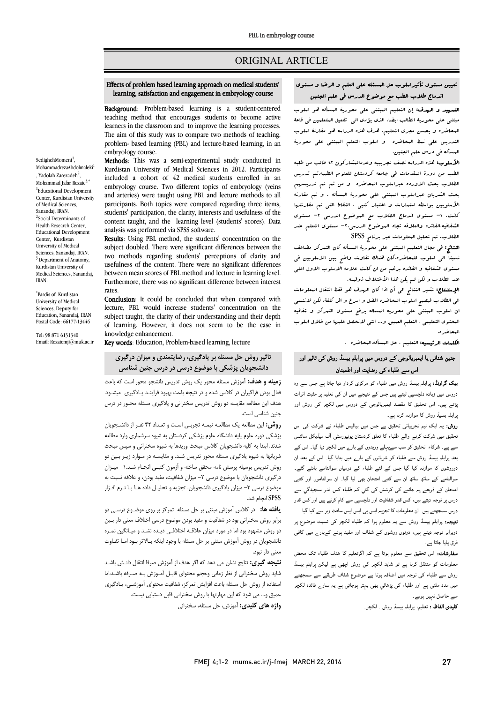# ORIGINAL ARTICLE

# تعیین مستوي تأثیراسلوب حل المسئله علی العلم و الرضا و مستوي اندماج طلاب الطب مع موضوع الدرس فی علم الجنین

Ī ֦

**Background**: Problem-based learning is a student-centered teaching method that encourages students to become active learners in the classroom and to improve the learning processes.  $\overline{\phantom{a}}$ problem- based learning (PBL) and lecture-based learning, in an embryology course. The aim of this study was to compare two methods of teaching, embryology course.

 Effects of problem based learning approach on medical students' learning, satisfaction and engagement in embryology course

Ī 

 Methods: This was a semi-experimental study conducted in included a cohort of 42 medical students enrolled in an embryology course. Two different topics of embryology (veins and arteries) were taught using PBL and lecture methods to all students' participation, the clarity, interests and usefulness of the content taught, and the learning level (students' scores). Data Kurdistan University of Medical Sciences in 2012. Participants participants. Both topics were compared regarding three items, analysis was performed via SPSS software.

anarysis was performed via of 55 software.<br>**Results**: Using PBL method, the students' concentration on the subject doubled. There were significant differences between the two methods regarding students' perceptions of clarity and between mean scores of PBL method and lecture in learning level. Furthermore, there was no significant difference between interest usefulness of the content. There were no significant differences rates.

rates.<br>**Conclusion**: It could be concluded that when compared with lecture, PBL would increase students' concentration on the subject taught, the clarity of their understanding and their depth<br>of learning. However, it does not seem to be the case in subject taught, the clarity of their understanding and their depth knowledge enhancement.

Key words: Education, Problem-based learning, lecture

# **تاثیر روش حل مسئله بر یادگیري، رضایتمندي و میزان درگیري دانشجویان پزشکی با موضوع درسی در درس جنین شناسی**

 **زمینه و هدف:** آموزش مسئله محور یک روش تدریس دانشجو محور است که باعث فعال بودن فراگیران در کلاس شده و در نتیجه باعث بهبود فراینـد یـادگیري میشـود . هدف این مطالعه مقایسه دو روش تدریس سخنرانی و یادگیري مسئله محـور در درس i. جنین شناسی است.

**روس،** این مصافعه پک مصافحه نیمه نبرېـی اســد و تعـداد ۱۰ نفـر از دانســبـویان<br>پزشکی دوره علوم پایه دانشگاه علوم پزشکی کردستان به شیوه سرشماری وارد مطالعه شدند. ابتدا به کلیه دانشجویان کلاس مبحث وریدها به شیوه سخنرانی و سپس مبحث شریانها به شیوه یادگیري مسئله محور تدریس شـد . و مقایسـه در مـوارد زیـر بـین دو روش تدریس بوسیله پرسش نامه محقق ساخته و آزمون کتبـی انجـام شـد -1. میـزان درگیري دانشجویان با موضوع درسی -2 میزان شفافیت، مفید بودن، و علاقه نسبت به موضوع درسی ۳- میزان یادگیری دانشجویان. تجزیه و تحلیـل داده هـا بـا نـرم افـزار **روش:** این مطالعه یک مطالعـه نیمـه تجربـی اسـت و تعـداد ۴۲ نفـر از دانشـجویان SPSS انجام شد.

 **یافته ها:** در کلاس آموزش مبتنی بر حل مسئله تمرکز بر روي موضـوع درسـی دو **با سه سه.** در تادس اهورس مبتنی بر حن مستند کمر بر بر روی موضوع درسی دو<br>برابر روش سخنرانی بود در شفافیت و مفید بودن موضوع درسی اختلاف معنی دار بـین دو روش مشهود بود اما در مورد میزان علاقـه اختلافـی دیـده نشـد و میـانگین نمـره دانشجویان در روش آموزش مبتنی بر حل مسئله با وجود اینکه بـالاتر بـود امـا تفـاوت معنی دار نبود.

 **نتیجه گیري:** نتایج نشان می دهد که اگر هدف از آموزش صرفا انتقال دانـش باشـد شاید روش سخنرانی از نظر زمانی وحجم محتواي قابـل آمـوزش بـه صـرفه باشـد،اما استفاده از روش حل مسئله باعث افزایش تمرکز، شفافیت محتواي آموزشـی، یـادگیري Ÿ **واژه هاي کلیدي:** آموزش، حل مسئله، سخنرانی عمیق و... می شود که این مهارتها با روش سخنرانی قابل دستیابی نیست. التسهید و الهدف: إن التعلیم الببتنی علی محوریۀ المسأله هو اسلوب<br>معدن الله موسلا مسيح على مسورية العلامية التعليم. هدف يوميه العليمي المحاسبين على مدة التعليم.<br>المحاضره و یحسن مجري التعليم. هدف هذه الدراسه هو مقارنۀ اسلوب التدریس علی نمط المحاضره و اسلوب التعلم المبتنی علی محوریۀ المسأله فی درس علم الجنین. مبتنی علی محوریۀ الطالب ایضا، الذي یؤدي الی تفعیل المتعلمین فی قاعۀ

 الأسلوب: هذه الدراسه نصف تجریبیه وعددالمشارکون 42 طالب من طلبه الطب من دورة المقدمات فی جامعه کردستان للعلوم الطبیه.تم تدریس الطلاب بحث الاورده عبراسلوب المحاضره و من ثم تم تدریسهم بحث الشریان عبراسلوب المبتنی علی محوریۀ المسأله . و تم مقارنه کانت. -1 مستوي اندماج الطلاب مع الموضوع الدرسی -2 مستوي الشفافیه،الفائده والعلاقه تجاه الموضوع الدرسی-3. مستوي التعلم عند الطلاب. تم تحلیل المعلومات عبر برنامج SPSS الأسلوبین بواسطه استمارات و اختبار کتبی . النقاط التی تم مقارنتها

 النتائج: فی مجال التعلیم المبتنی علی محوریۀ المسأله کان التمرکز مضاعف نسبتا الی اسلوب للمحاضره.کان هناك تفاوت واضح بین الاسلوبین فی مستوي الشفافیه و الفائده برغم من ان کانت علامه الاسلوب الاول اعلی عند الطلاب و لکن لم یکن هذا الأختلاف ذوقیمه.

عند الصلاب و لكن لم يكن عند الاستلاب دونيته.<br>**الإستنتاج:** تشير النتائج ال<sub>ى</sub> أن اذا كان الهدف هو فقط انتقال البعلومات الی الطلاب فیصبح اسلام فی استان موسوع استان میکند و استان مسلوب اسلام<br>الی الطلاب فیصبح اسلوب البحاضره افضل و اسرع و اقل کلفۀ، لکن لاننسی ان اسلوب المبتنی علی محوریه المساله یرفع مستوي التمرکز و شفافیه المحتوي التعلیمی ، التعلم العمیق و... التی لانحصل علیها من خلال اسلوب المحاضره.

ا**لکلمات الرئیسیه:** التعلیم ، حل المسأله،المحاضره .

# جنین شنانی یا ایمبریالوجی کے دروس میں پرابلم بیسڈ روش کی تاثیر اور اس سے طلباء کی رضایت اور اطمینان

**یک گراونڈ:** پرابلم بیسڈ روش میں طلباء کو مرکزی کردار دیا جاتا ہے جس سے وہ دروس میں زیادہ دلچسپی لیتے ہیں جس کے نتیجے میں ان کی تعلیم پر مثبت اثرات پڑتے ہیں۔ اس تحقیق کا مقصد ایمبریالوجی کے دروس میں لکچر کی روش اور <sub>ب</sub>رابلم بسیڈ روش کا موازنہ کرنا ہے۔<br>'

روش: یہ ایک نیم تجربیاتی تحقیق ہے جس میں بیالیس طلباء نے شرکت کی اس<br>سے مسلمان ۔ عینی میں سرت ترتے والے حبیہ اب علی ترتیسان پوہیورسٹی اب میبیاس سائٹس<br>سے ہے۔ شرکاء اتحقیق کو سب سےپہلے وریدوں کے بارے میں لکچر دیا گیا۔ اس کے ے بے مسلم کے بارے میں اس کے بعد سے علاقہ کرتے ہیں۔<br>بعد پرابلم بیسڈ روش سے طلباء کو شریانوں کے بارے میں بتایا گیا۔ اس کے بعد ان <sub>۔</sub><br>دوروشوں کا موازنہ کیا گیا جس کے لئے طلباء کے درمیاں سوالنامے بانٹے گئے۔ سوالنامے کے ساتھ ساتھ ان سے کتبی امتحان بھی لیا گیا۔ ان سوالناموں اور کتبی امتحان کے ذریعے یہ جاننے کی کوشش کی گئي کہ طلباء کس قدر سنجیدگي سے درس پر توجہ دیتے ہیں، کس قدر شفافیت اور دلچسپی سے کام کرتے ہیں اور کس قدر<br>۔ درس سمجھتے ہیں۔ ان معلومات کا تجزیہ ایس پی ایس ایس سافٹ ویر سے کیا گیا۔<br>۔ تحقیق میں شرکت کرنے والے طلباء کا تعلق کردستان یونیورسٹی آف میڈیکل سائنس

Ĩ دوبرابر توجہ دیتے ہیں، دونوں روشوں کے شفاف اور مفید ہونے کےبارے میں کافی<br>: ترماما حاتا . **نتیجہ:** پرابلم بیسڈ روش سے یہ معلوم ہوا کہ طلباء لکچر کی نسبت موضوع پر فرق پایا جاتا ہے۔

۔<br>**سفارشات:** اس تحقیق سے معلوم ہوتا ہے کہ اگرتعلیم کا ہدف طلباء تک محض .<br>معلومات کو منتقل کرنا ہے تو شاید لکچر کی روش اچھی ہے لیکن پرابلم بیسڈ روش سے طلباء کی توجہ میں اضافہ ہوتا ہے موضوع شفاف طریقے سے سمجھنے میں مدد ملتی ہے اور طلباء کی پڑھائي بھی بہتر ہوجاتی ہے یہ سارے فائدہ لکچر سے حاصل نہیں ہوتے ۔<br>۔۔۔۔۔۔۔۔۔۔۔۔۔۔۔۔۔۔۔۔۔۔۔۔۔

**کلیدی الفاظ :** تعلیم، پرابلم بیسڈ روش ۔ لکچر۔<br>۔

SedighehMomeni<sup>1</sup>, MohammadrezaAbdolmaleki , Yadolah Zarezadeh<sup>2</sup>, Mohammad Jafar Rezaie<sup>3,\*</sup> <sup>1</sup>Educational Development Center, Kurdistan University of Medical Sciences, Sanandaj, IRAN. <sup>2</sup>Social Determinants of Health Research Center, Educational Development Center, Kurdistan University of Medical Sciences, Sanandaj, IRAN. <sup>3</sup> Department of Anatomy, Kurdistan University of Medical Sciences, Sanandaj, IRAN.

\* Pardis of Kurdistan University of Medical Sciences, Deputy for Education, Sanandaj, IRAN Postal Code: 66177-13446

Tel: 98 871 6131340 Email: Rezaiemj@muk.ac.ir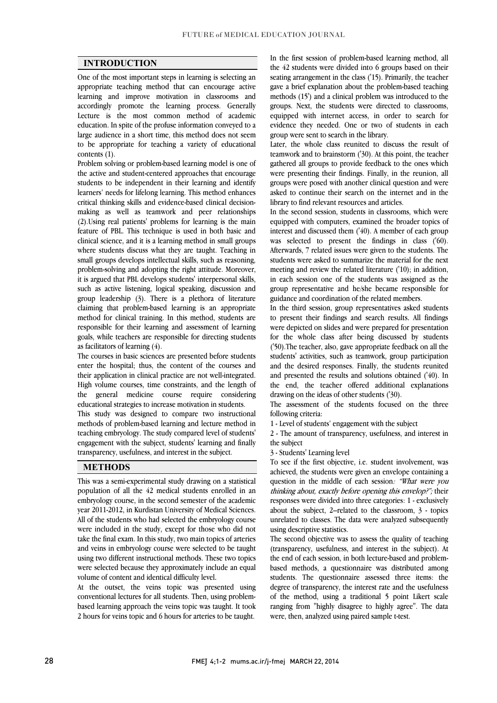$\overline{a}$  $\overline{a}$ 

#### **INTRODUCTION**

 One of the most important steps in learning is selecting an appropriate teaching method that can encourage active accordingly promote the learning process. Generally Lecture is the most common method of academic education. In spite of the profuse information conveyed to a large audience in a short time, this method does not seem to be appropriate for teaching a variety of educational contents  $(1)$ learning and improve motivation in classrooms and contents (1).

 Problem solving or problem-based learning model is one of the active and student-centered approaches that encourage students to be independent in their learning and identify critical thinking skills and evidence-based clinical decision- making as well as teamwork and peer relationships (2).Using real patients' problems for learning is the main feature of PBL. This technique is used in both basic and where students discuss what they are taught. Teaching in small groups develops intellectual skills, such as reasoning, problem-solving and adopting the right attitude. Moreover, such as active listening, logical speaking, discussion and group leadership  $(3)$ . There is a plethora of literature claiming that problem-based learning is an appropriate method for clinical training. In this method, students are goals, while teachers are responsible for directing students learners' needs for lifelong learning. This method enhances clinical science, and it is a learning method in small groups it is argued that PBL develops students' interpersonal skills, responsible for their learning and assessment of learning as facilitators of learning (4).

 The courses in basic sciences are presented before students enter the hospital; thus, the content of the courses and High volume courses, time constraints, and the length of the general medicine course require considering their application in clinical practice are not well-integrated. educational strategies to increase motivation in students.

 This study was designed to compare two instructional teaching embryology. The study compared level of students' engagement with the subject, students' learning and finally methods of problem-based learning and lecture method in transparency, usefulness, and interest in the subject.

#### **METHODS**

 This was a semi-experimental study drawing on a statistical population of all the 42 medical students enrolled in an embryology course, in the second semester of the academic All of the students who had selected the embryology course were included in the study, except for those who did not take the final exam. In this study, two main topics of arteries and veins in embryology course were selected to be taught asing two unclear instructional includes. These two topics<br>were selected because they approximately include an equal year 2011-2012, in Kurdistan University of Medical Sciences. using two different instructional methods. These two topics volume of content and identical difficulty level.

 At the outset, the veins topic was presented using conventional lectures for all students. Then, using problem- 2 hours for veins topic and 6 hours for arteries to be taught. based learning approach the veins topic was taught. It took

 the 42 students were divided into 6 groups based on their seating arrangement in the class ('15). Primarily, the teacher gave a brief explanation about the problem-based teaching groups. Next, the students were directed to classrooms, equipped with internet access, in order to search for evidence they needed. One or two of students in each In the first session of problem-based learning method, all methods (15') and a clinical problem was introduced to the group were sent to search in the library.

group were sent to search in the ilorary.<br>Later, the whole class reunited to discuss the result of teamwork and to brainstorm ('30). At this point, the teacher gathered all groups to provide feedback to the ones which were presenting their findings. Finally, in the reunion, all groups were posed with another chilical question and were<br>asked to continue their search on the internet and in the groups were posed with another clinical question and were library to find relevant resources and articles.

 In the second session, students in classrooms, which were equipped with computers, examined the broader topics of merest and discussed them (40). A member of each group<br>was selected to present the findings in class ('60). Afterwards, 7 related issues were given to the students. The students were asked to summarize the material for the next meeting and review the related literature ('10); in addition, group representative and he/she became responsible for interest and discussed them ('40). A member of each group in each session one of the students was assigned as the guidance and coordination of the related members.

 In the third session, group representatives asked students to present their findings and search results. All findings for the whole class after being discussed by students ('50).The teacher, also, gave appropriate feedback on all the students' activities, such as teamwork, group participation and the desired responses. Finally, the students reunited the end, the teacher offered additional explanations were depicted on slides and were prepared for presentation and presented the results and solutions obtained ('40). In drawing on the ideas of other students ('30).

 The assessment of the students focused on the three following criteria:

1 - Level of students' engagement with the subject

2 - The amount of transparency, usefulness, and interest in the subject

3 - Students' Learning level

Fo see if the first objective, i.e. student involvement, was<br>achieved, the students were given an envelope containing a question in the middle of each session: "What were you thinking about, exactly before opening this envelop?"; their responses were divided into three categories: 1 - exclusively unrelated to classes. The data were analyzed subsequently Í To see if the first objective, i.e. student involvement, was about the subject, 2–related to the classroom, 3 - topics using descriptive statistics.

 The second objective was to assess the quality of teaching (transparency, usefulness, and interest in the subject). At based methods, a questionnaire was distributed among students. The questionnaire assessed three items: the degree of transparency, the interest rate and the usefulness of the method, using a traditional 5 point Likert scale ranging from "highly disagree to highly agree". The data<br>were then analyzed using paired sample t-test the end of each session, in both lecture-based and problemwere, then, analyzed using paired sample t-test.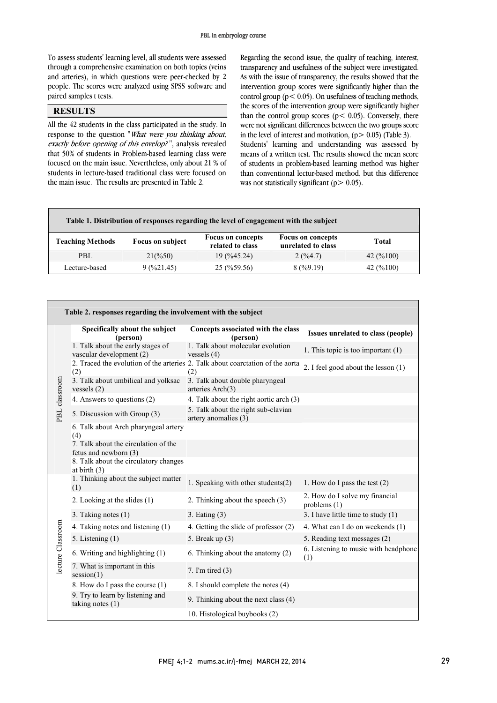$\overline{a}$ 

 To assess students' learning level, all students were assessed through a comprehensive examination on both topics (veins and arteries), in which questions were peer-checked by 2 people. The scores were analyzed using SPSS software and L paired samples t tests.

### **RESULTS**

 All the 42 students in the class participated in the study. In response to the question *what were you thinking about*,<br>*exactly before opening of this envelop?*", analysis revealed that 50% of students in Problem-based learning class were focused on the main issue. Nevertheless, only about 21 % of students in lecture-based traditional class were focused on response to the question "What were you thinking about, the main issue. The results are presented in Table 2.

 Regarding the second issue, the quality of teaching, interest, transparency and usefulness of the subject were investigated. As with the issue of transparency, the results showed that the intervention group scores were significantly higher than the the scores of the intervention group were significantly higher were not significant differences between the two groups score In the level of interest and motivation,  $(p > 0.05)$  (Table 5).<br>Students' learning and understanding was assessed by means of a written test. The results showed the mean score of students in problem-based learning method was higher than conventional lectur-based method, but this difference control group ( $p < 0.05$ ). On usefulness of teaching methods, than the control group scores ( $p < 0.05$ ). Conversely, there in the level of interest and motivation,  $(p > 0.05)$  (Table 3). was not statistically significant ( $p > 0.05$ ).

| Table 1. Distribution of responses regarding the level of engagement with the subject |                         |                                              |                                                |           |  |
|---------------------------------------------------------------------------------------|-------------------------|----------------------------------------------|------------------------------------------------|-----------|--|
| <b>Teaching Methods</b>                                                               | <b>Focus on subject</b> | <b>Focus on concepts</b><br>related to class | <b>Focus on concepts</b><br>unrelated to class | Total     |  |
| PBL                                                                                   | $21\frac{6}{50}$        | 19(%45.24)                                   | 2(9/64.7)                                      | 42 (%100) |  |
| Lecture-based                                                                         | 9(%21.45)               | $25 \left( \frac{9}{6} \right.59.56$         | 8(%9.19)                                       | 42 (%100) |  |

 $\overline{a}$ 

|                   |  | Specifically about the subject<br>(person)                    | Concepts associated with the class<br>(person)                                        | Issues unrelated to class (people)               |
|-------------------|--|---------------------------------------------------------------|---------------------------------------------------------------------------------------|--------------------------------------------------|
| PBL classroom     |  | 1. Talk about the early stages of<br>vascular development (2) | 1. Talk about molecular evolution<br>vessels $(4)$                                    | 1. This topic is too important $(1)$             |
|                   |  | (2)                                                           | 2. Traced the evolution of the arteries 2. Talk about coarctation of the aorta<br>(2) | 2. I feel good about the lesson (1)              |
|                   |  | 3. Talk about umbilical and yolksac<br>vessels $(2)$          | 3. Talk about double pharyngeal<br>arteries Arch(3)                                   |                                                  |
|                   |  | 4. Answers to questions (2)                                   | 4. Talk about the right aortic arch (3)                                               |                                                  |
|                   |  | 5. Discussion with Group (3)                                  | 5. Talk about the right sub-clavian<br>artery anomalies (3)                           |                                                  |
|                   |  | 6. Talk about Arch pharyngeal artery<br>(4)                   |                                                                                       |                                                  |
|                   |  | 7. Talk about the circulation of the<br>fetus and newborn (3) |                                                                                       |                                                  |
|                   |  | 8. Talk about the circulatory changes<br>at birth $(3)$       |                                                                                       |                                                  |
|                   |  | 1. Thinking about the subject matter<br>(1)                   | 1. Speaking with other students(2)                                                    | 1. How do I pass the test $(2)$                  |
|                   |  | 2. Looking at the slides (1)                                  | 2. Thinking about the speech (3)                                                      | 2. How do I solve my financial<br>problems $(1)$ |
|                   |  | 3. Taking notes (1)                                           | $3.$ Eating $(3)$                                                                     | 3. I have little time to study $(1)$             |
|                   |  | 4. Taking notes and listening (1)                             | 4. Getting the slide of professor (2)                                                 | 4. What can I do on weekends (1)                 |
| lecture Classroom |  | 5. Listening (1)                                              | 5. Break up $(3)$                                                                     | 5. Reading text messages (2)                     |
|                   |  | 6. Writing and highlighting (1)                               | 6. Thinking about the anatomy (2)                                                     | 6. Listening to music with headphone<br>(1)      |
|                   |  | 7. What is important in this<br>session(1)                    | 7. I'm tired $(3)$                                                                    |                                                  |
|                   |  | 8. How do I pass the course (1)                               | 8. I should complete the notes (4)                                                    |                                                  |
|                   |  | 9. Try to learn by listening and<br>taking notes $(1)$        | 9. Thinking about the next class (4)                                                  |                                                  |
|                   |  |                                                               | 10. Histological buybooks (2)                                                         |                                                  |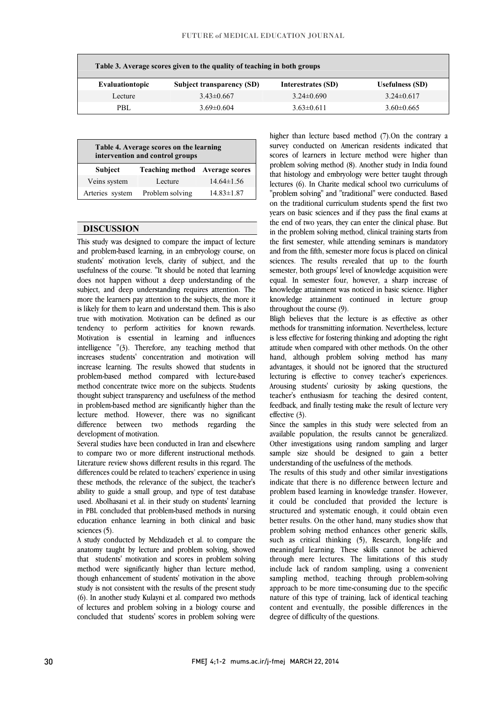| Table 3. Average scores given to the quality of teaching in both groups |                           |                    |                        |  |  |
|-------------------------------------------------------------------------|---------------------------|--------------------|------------------------|--|--|
| Evaluationtopic                                                         | Subject transparency (SD) | Interestrates (SD) | <b>Usefulness</b> (SD) |  |  |
| Lecture                                                                 | $3.43\pm0.667$            | $3.24\pm0.690$     | $3.24\pm 0.617$        |  |  |
| PBL                                                                     | $3.69\pm0.604$            | $3.63\pm0.611$     | $3.60\pm0.665$         |  |  |

ī

| Table 4. Average scores on the learning<br>intervention and control groups |                                       |                  |  |  |  |
|----------------------------------------------------------------------------|---------------------------------------|------------------|--|--|--|
| <b>Subject</b>                                                             | <b>Teaching method</b> Average scores |                  |  |  |  |
| Veins system                                                               | Lecture                               | $14.64\pm1.56$   |  |  |  |
| Arteries system                                                            | Problem solving                       | $14.83 \pm 1.87$ |  |  |  |

#### **DISCUSSION**

This study was designed to compare the impact of lecture and problem-based learning, in an embryology course, on students' motivation levels, clarity of subject, and the usefulness of the course. "It should be noted that learning does not happen without a deep understanding of the more the learners pay attention to the subjects, the more it is likely for them to learn and understand them. This is also true with motivation. Motivation can be defined as our Motivation is essential in learning and influences intelligence "(3). Therefore, any teaching method that increases students' concentration and motivation will increase learning. The results showed that students in method concentrate twice more on the subjects. Students thought subject transparency and usefulness of the method in problem-based method are significantly higher than the lecture method. However, there was no significant the subject, and deep understanding requires attention. The tendency to perform activities for known rewards. problem-based method compared with lecture-based difference between two methods regarding development of motivation.

 Several studies have been conducted in Iran and elsewhere to compare two or more different instructional methods. Literature review shows different results in this regard. The these methods, the relevance of the subject, the teacher's ability to guide a small group, and type of test database used. Abolhasani et al. in their study on students' learning in PBL concluded that problem-based methods in nursing education enhance learning in both clinical and basic<br>sciences (5) differences could be related to teachers' experience in using sciences (5).

 A study conducted by Mehdizadeh et al. to compare the anatomy taught by lecture and problem solving, showed that students' motivation and scores in problem solving though enhancement of students' motivation in the above study is not consistent with the results of the present study (6). In another study Kulayni et al. compared two methods concluded that students' scores in problem solving were method were significantly higher than lecture method, of lectures and problem solving in a biology course and

 higher than lecture based method (7).On the contrary a scores of learners in lecture method were higher than problem solving method (8). Another study in India found that histology and embryology were better taught through lectures (6). In Charite medical school two curriculums of on the traditional curriculum students spend the first two years on basic sciences and if they pass the final exams at the end of two years, they can enter the clinical phase. But in the problem solving method, clinical training starts from and from the fifth, semester more focus is placed on clinical sciences. The results revealed that up to the fourth semester, both groups' level of knowledge acquisition were equal. In semester four, however, a sharp increase of knowledge attainment was noticed in basic science. rights survey conducted on American residents indicated that "problem solving" and "traditional" were conducted. Based the first semester, while attending seminars is mandatory knowledge attainment was noticed in basic science. Higher throughout the course (9).

 Bligh believes that the lecture is as effective as other is less effective for fostering thinking and adopting the right attitude when compared with other methods. On the other hand, although problem solving method has many advantages, it should not be ignored that the structured Arousing students' curiosity by asking questions, the teacher's enthusiasm for teaching the desired content, feedback, and finally testing make the result of lecture very methods for transmitting information. Nevertheless, lecture lecturing is effective to convey teacher's experiences. effective (3).

 available population, the results cannot be generalized. Other investigations using random sampling and larger sample size should be designed to gain a better Since the samples in this study were selected from an understanding of the usefulness of the methods.

understanding of the usefulness of the methods.<br>The results of this study and other similar investigations indicate that there is no difference between lecture and problem based learning in knowledge transfer. However, it could be concluded that provided the lecture is structured and systematic enough, it could obtain even problem solving method enhances other generic skills, such as critical thinking (5), Research, long-life and meaningful learning. These skills cannot be achieved through mere lectures. The limitations of this study sampling method, teaching through problem-solving approach to be more time-consuming due to the specific nature of this type of training, lack of identical teaching content and eventually, the possible differences in the<br>degree of difficulty of the questions better results. On the other hand, many studies show that include lack of random sampling, using a convenient degree of difficulty of the questions.